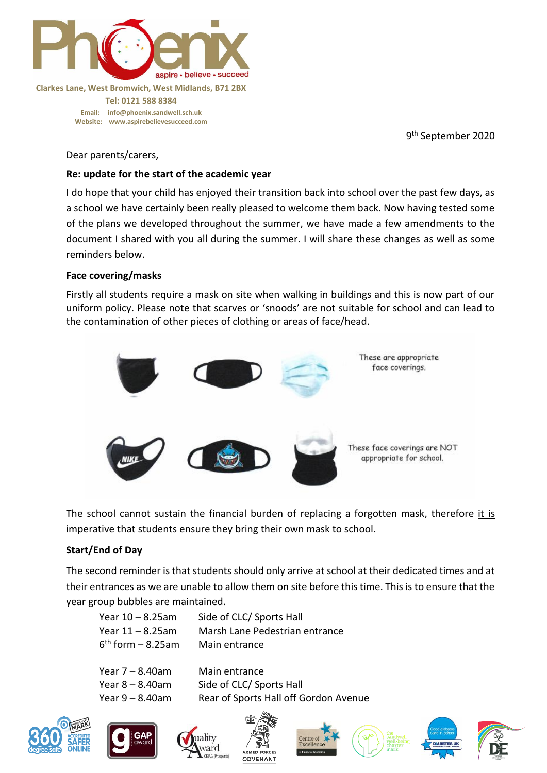

**Clarkes Lane, West Bromwich, West Midlands, B71 2BX Tel: 0121 588 8384 Email: [info@phoenix.sandwell.sch.uk](mailto:info@phoenix.sandwell.sch.uk) Website: www.aspirebelievesucceed.com**

9<sup>th</sup> September 2020

Dear parents/carers,

## **Re: update for the start of the academic year**

I do hope that your child has enjoyed their transition back into school over the past few days, as a school we have certainly been really pleased to welcome them back. Now having tested some of the plans we developed throughout the summer, we have made a few amendments to the document I shared with you all during the summer. I will share these changes as well as some reminders below.

## **Face covering/masks**

Firstly all students require a mask on site when walking in buildings and this is now part of our uniform policy. Please note that scarves or 'snoods' are not suitable for school and can lead to the contamination of other pieces of clothing or areas of face/head.



The school cannot sustain the financial burden of replacing a forgotten mask, therefore it is imperative that students ensure they bring their own mask to school.

# **Start/End of Day**

The second reminder is that students should only arrive at school at their dedicated times and at their entrances as we are unable to allow them on site before this time. This is to ensure that the year group bubbles are maintained.

| Year $10 - 8.25$ am   | Side of CLC/ Sports Hall       |
|-----------------------|--------------------------------|
| Year $11 - 8.25$ am   | Marsh Lane Pedestrian entrance |
| $6th$ form $-8.25$ am | Main entrance                  |
|                       |                                |

| Year $7 - 8.40$ am | Main entrance                         |
|--------------------|---------------------------------------|
| Year $8 - 8.40$ am | Side of CLC/ Sports Hall              |
| Year $9 - 8.40$ am | Rear of Sports Hall off Gordon Avenue |















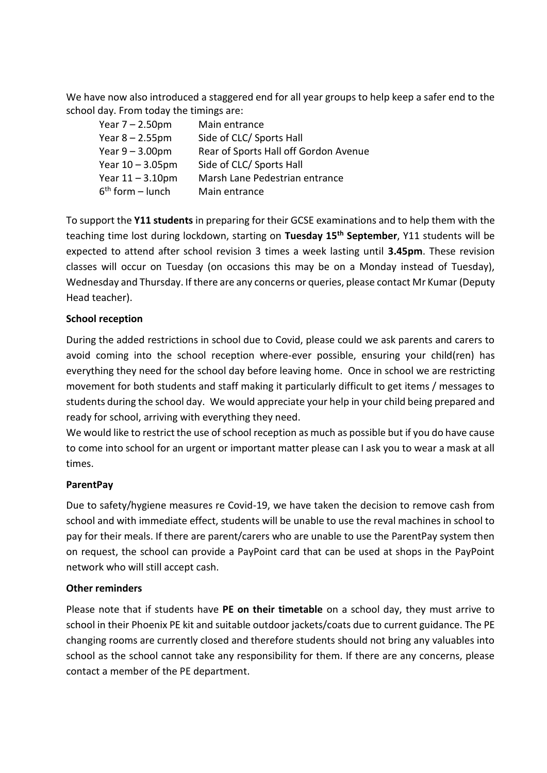We have now also introduced a staggered end for all year groups to help keep a safer end to the school day. From today the timings are:

| Year $7 - 2.50$ pm  | Main entrance                         |
|---------------------|---------------------------------------|
| Year $8 - 2.55$ pm  | Side of CLC/ Sports Hall              |
| Year $9 - 3.00$ pm  | Rear of Sports Hall off Gordon Avenue |
| Year $10 - 3.05$ pm | Side of CLC/ Sports Hall              |
| Year $11 - 3.10$ pm | Marsh Lane Pedestrian entrance        |
| $6th$ form – lunch  | Main entrance                         |

To support the **Y11 students** in preparing for their GCSE examinations and to help them with the teaching time lost during lockdown, starting on **Tuesday 15th September**, Y11 students will be expected to attend after school revision 3 times a week lasting until **3.45pm**. These revision classes will occur on Tuesday (on occasions this may be on a Monday instead of Tuesday), Wednesday and Thursday. If there are any concerns or queries, please contact Mr Kumar (Deputy Head teacher).

## **School reception**

During the added restrictions in school due to Covid, please could we ask parents and carers to avoid coming into the school reception where-ever possible, ensuring your child(ren) has everything they need for the school day before leaving home. Once in school we are restricting movement for both students and staff making it particularly difficult to get items / messages to students during the school day. We would appreciate your help in your child being prepared and ready for school, arriving with everything they need.

We would like to restrict the use of school reception as much as possible but if you do have cause to come into school for an urgent or important matter please can I ask you to wear a mask at all times.

## **ParentPay**

Due to safety/hygiene measures re Covid-19, we have taken the decision to remove cash from school and with immediate effect, students will be unable to use the reval machines in school to pay for their meals. If there are parent/carers who are unable to use the ParentPay system then on request, the school can provide a PayPoint card that can be used at shops in the PayPoint network who will still accept cash.

## **Other reminders**

Please note that if students have **PE on their timetable** on a school day, they must arrive to school in their Phoenix PE kit and suitable outdoor jackets/coats due to current guidance. The PE changing rooms are currently closed and therefore students should not bring any valuables into school as the school cannot take any responsibility for them. If there are any concerns, please contact a member of the PE department.